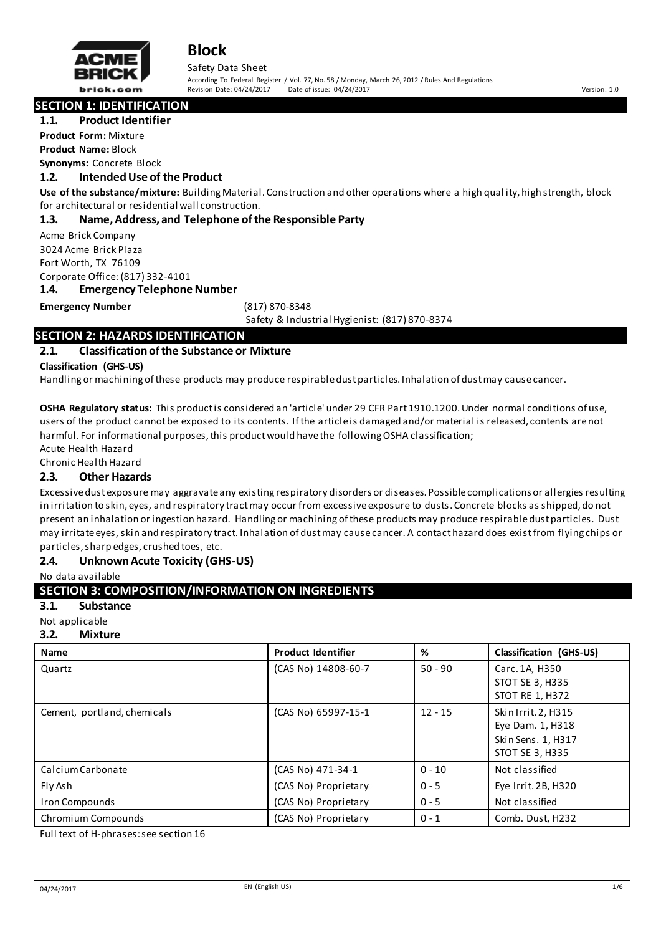

Safety Data Sheet According To Federal Register / Vol. 77, No. 58 / Monday, March 26, 2012 / Rules And Regulations Revision Date: 04/24/2017 Date of issue: 04/24/2017 Version: 1.0

**SECTION 1: IDENTIFICATION**

#### **1.1. Product Identifier**

**Product Form:** Mixture

**Product Name:** Block **Synonyms:** Concrete Block

#### **1.2. Intended Use of the Product**

**Use of the substance/mixture:** Building Material. Construction and other operations where a high qual ity, high strength, block for architectural or residential wall construction.

#### **1.3. Name, Address, and Telephone of the Responsible Party**

Acme Brick Company 3024 Acme Brick Plaza Fort Worth, TX 76109 Corporate Office: (817) 332-4101

**1.4. Emergency Telephone Number**

#### **Emergency Number** (817) 870-8348

Safety & Industrial Hygienist: (817) 870-8374

# **SECTION 2: HAZARDS IDENTIFICATION**

#### **2.1. Classification of the Substance or Mixture**

**Classification (GHS-US)** 

Handling or machining of these products may produce respirable dust particles. Inhalation of dust may cause cancer.

**OSHA Regulatory status:** This product is considered an 'article' under 29 CFR Part 1910.1200. Under normal conditions of use, users of the product cannot be exposed to its contents. If the article is damaged and/or material is released, contents are not harmful. For informational purposes, this product would have the following OSHA classification; Acute Health Hazard

Chronic Health Hazard

#### **2.3. Other Hazards**

Excessive dust exposure may aggravate any existing respiratory disorders or diseases. Possible complications or allergies resulting in irritation to skin, eyes, and respiratory tract may occur from excessive exposure to dusts. Concrete blocks as shipped, do not present an inhalation or ingestion hazard. Handling or machining of these products may produce respirable dust particles. Dust may irritate eyes, skin and respiratory tract. Inhalation of dust may cause cancer. A contact hazard does exist from flying chips or particles, sharp edges, crushed toes, etc.

#### **2.4. Unknown Acute Toxicity (GHS-US)**

No data available

### **SECTION 3: COMPOSITION/INFORMATION ON INGREDIENTS**

#### **3.1. Substance**

Not applicable

#### **3.2. Mixture**

| <b>Name</b>                 | <b>Product Identifier</b> | %         | <b>Classification (GHS-US)</b>                                                          |
|-----------------------------|---------------------------|-----------|-----------------------------------------------------------------------------------------|
| Quartz                      | (CAS No) 14808-60-7       | $50 - 90$ | Carc. 1A, H350<br><b>STOT SE 3, H335</b><br><b>STOT RE 1, H372</b>                      |
| Cement, portland, chemicals | (CAS No) 65997-15-1       | $12 - 15$ | Skin Irrit. 2, H315<br>Eye Dam. 1, H318<br>Skin Sens. 1, H317<br><b>STOT SE 3, H335</b> |
| Calcium Carbonate           | (CAS No) 471-34-1         | $0 - 10$  | Not classified                                                                          |
| Fly Ash                     | (CAS No) Proprietary      | $0 - 5$   | Eye Irrit. 2B, H320                                                                     |
| <b>Iron Compounds</b>       | (CAS No) Proprietary      | $0 - 5$   | Not classified                                                                          |
| Chromium Compounds          | (CAS No) Proprietary      | $0 - 1$   | Comb. Dust, H232                                                                        |

Full text of H-phrases: see section 16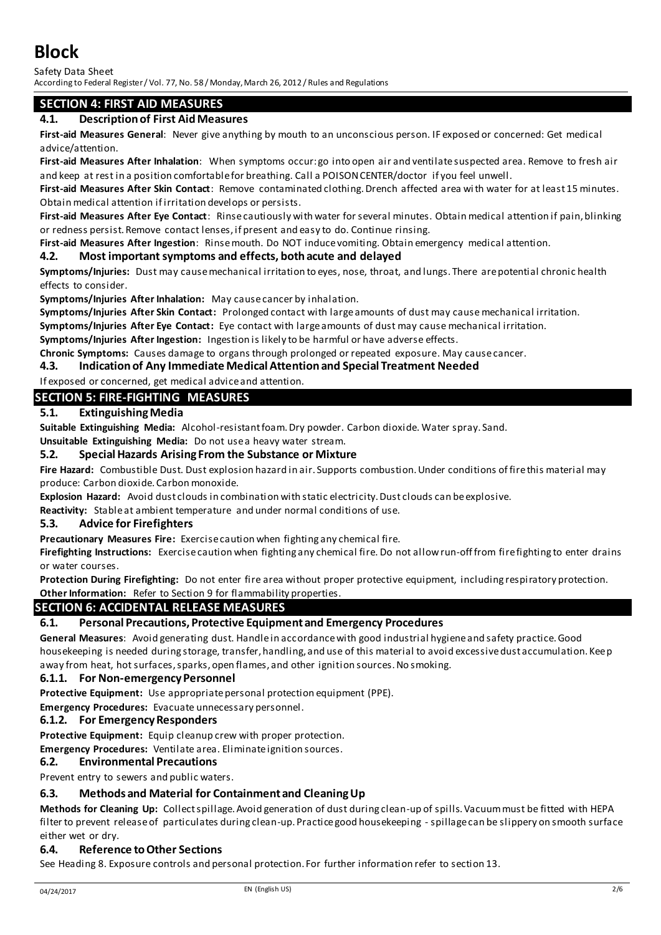Safety Data Sheet

According to Federal Register / Vol. 77, No. 58 / Monday, March 26, 2012 / Rules and Regulations

# **SECTION 4: FIRST AID MEASURES**

### **4.1. Description of First Aid Measures**

**First-aid Measures General**: Never give anything by mouth to an unconscious person. IF exposed or concerned: Get medical advice/attention.

**First-aid Measures After Inhalation**: When symptoms occur: go into open air and ventilate suspected area. Remove to fresh air and keep at rest in a position comfortable for breathing. Call a POISON CENTER/doctor if you feel unwell.

**First-aid Measures After Skin Contact**: Remove contaminated clothing. Drench affected area with water for at least 15 minutes. Obtain medical attention if irritation develops or persists.

**First-aid Measures After Eye Contact**: Rinse cautiously with water for several minutes. Obtain medical attention if pain, blinking or redness persist. Remove contact lenses, if present and easy to do. Continue rinsing.

**First-aid Measures After Ingestion**: Rinse mouth. Do NOT induce vomiting. Obtain emergency medical attention.

#### **4.2. Most important symptoms and effects, both acute and delayed**

**Symptoms/Injuries:** Dust may cause mechanical irritation to eyes, nose, throat, and lungs. There are potential chronic health effects to consider.

**Symptoms/Injuries After Inhalation:** May cause cancer by inhalation.

**Symptoms/Injuries After Skin Contact:** Prolonged contact with large amounts of dust may cause mechanical irritation.

**Symptoms/Injuries After Eye Contact:** Eye contact with large amounts of dust may cause mechanical irritation.

**Symptoms/Injuries After Ingestion:** Ingestion is likely to be harmful or have adverse effects.

**Chronic Symptoms:** Causes damage to organs through prolonged or repeated exposure. May cause cancer.

#### **4.3. Indication of Any Immediate Medical Attention and Special Treatment Needed**

If exposed or concerned, get medical advice and attention.

## **SECTION 5: FIRE-FIGHTING MEASURES**

### **5.1. Extinguishing Media**

**Suitable Extinguishing Media:** Alcohol-resistant foam. Dry powder. Carbon dioxide. Water spray. Sand.

**Unsuitable Extinguishing Media:** Do not use a heavy water stream.

#### **5.2. Special Hazards Arising From the Substance or Mixture**

**Fire Hazard:** Combustible Dust. Dust explosion hazard in air. Supports combustion. Under conditions of fire this material may produce: Carbon dioxide. Carbon monoxide.

**Explosion Hazard:** Avoid dust clouds in combination with static electricity. Dust clouds can be explosive.

**Reactivity:** Stable at ambient temperature and under normal conditions of use.

#### **5.3. Advice for Firefighters**

**Precautionary Measures Fire:** Exercise caution when fighting any chemical fire.

**Firefighting Instructions:** Exercise caution when fighting any chemical fire. Do not allow run-off from fire fighting to enter drains or water courses.

**Protection During Firefighting:** Do not enter fire area without proper protective equipment, including respiratory protection. **Other Information:** Refer to Section 9 for flammability properties.

#### **SECTION 6: ACCIDENTAL RELEASE MEASURES**

#### **6.1. Personal Precautions, Protective Equipment and Emergency Procedures**

**General Measures**: Avoid generating dust. Handle in accordance with good industrial hygiene and safety practice. Good housekeeping is needed during storage, transfer, handling, and use of this material to avoid excessive dust accumulation. Keep away from heat, hot surfaces, sparks, open flames, and other ignition sources. No smoking.

#### **6.1.1. For Non-emergency Personnel**

**Protective Equipment:** Use appropriate personal protection equipment (PPE).

**Emergency Procedures:** Evacuate unnecessary personnel.

#### **6.1.2. For Emergency Responders**

**Protective Equipment:** Equip cleanup crew with proper protection.

**Emergency Procedures:** Ventilate area. Eliminate ignition sources.

#### **6.2. Environmental Precautions**

Prevent entry to sewers and public waters.

#### **6.3. Methods and Material for Containment and Cleaning Up**

**Methods for Cleaning Up:** Collect spillage. Avoid generation of dust during clean-up of spills. Vacuum must be fitted with HEPA filter to prevent release of particulates during clean-up. Practice good housekeeping - spillage can be slippery on smooth surface either wet or dry.

#### **6.4. Reference to Other Sections**

See Heading 8. Exposure controls and personal protection. For further information refer to section 13.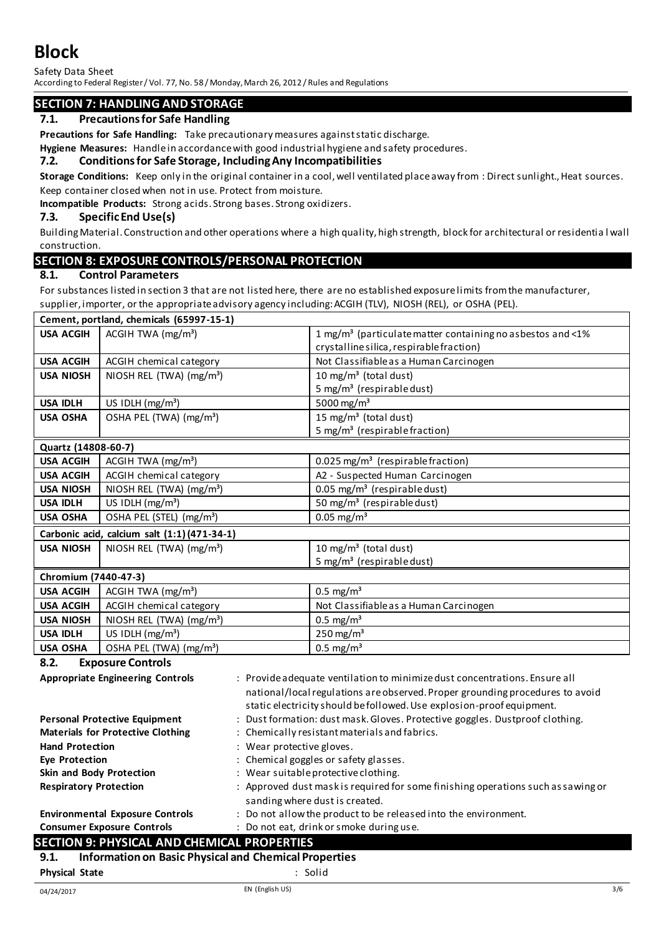Safety Data Sheet

According to Federal Register / Vol. 77, No. 58 / Monday, March 26, 2012 / Rules and Regulations

# **SECTION 7: HANDLING AND STORAGE**

# **7.1. Precautions for Safe Handling**

**Precautions for Safe Handling:** Take precautionary measures against static discharge.

**Hygiene Measures:** Handle in accordance with good industrial hygiene and safety procedures.

#### **7.2. Conditions for Safe Storage, Including Any Incompatibilities**

**Storage Conditions:** Keep only in the original container in a cool, well ventilated place away from : Direct sunlight., Heat sources. Keep container closed when not in use. Protect from moisture.

**Incompatible Products:** Strong acids. Strong bases. Strong oxidizers.

### **7.3. Specific End Use(s)**

Building Material. Construction and other operations where a high quality, high strength, block for architectural or residentia l wall construction.

# **SECTION 8: EXPOSURE CONTROLS/PERSONAL PROTECTION**

#### **8.1. Control Parameters**

For substances listed in section 3 that are not listed here, there are no established exposure limits from the manufacturer, supplier, importer, or the appropriate advisory agency including: ACGIH (TLV), NIOSH (REL), or OSHA (PEL).

|                      | Cement, portland, chemicals (65997-15-1)    |                                                                               |
|----------------------|---------------------------------------------|-------------------------------------------------------------------------------|
| <b>USA ACGIH</b>     | ACGIH TWA $(mg/m3)$                         | 1 mg/m <sup>3</sup> (particulate matter containing no asbestos and <1%        |
|                      |                                             | crystalline silica, respirable fraction)                                      |
| <b>USA ACGIH</b>     | ACGIH chemical category                     | Not Classifiable as a Human Carcinogen                                        |
| <b>USA NIOSH</b>     | NIOSH REL (TWA) $(mg/m3)$                   | 10 mg/m <sup>3</sup> (total dust)                                             |
|                      |                                             | 5 mg/m <sup>3</sup> (respirable dust)                                         |
| <b>USA IDLH</b>      | US IDLH $(mg/m3)$                           | 5000 mg/m <sup>3</sup>                                                        |
| <b>USA OSHA</b>      | OSHA PEL (TWA) (mg/m <sup>3</sup> )         | 15 mg/m <sup>3</sup> (total dust)                                             |
|                      |                                             | 5 mg/m <sup>3</sup> (respirable fraction)                                     |
| Quartz (14808-60-7)  |                                             |                                                                               |
| <b>USA ACGIH</b>     | ACGIH TWA $(mg/m3)$                         | 0.025 mg/m <sup>3</sup> (respirable fraction)                                 |
| <b>USA ACGIH</b>     | ACGIH chemical category                     | A2 - Suspected Human Carcinogen                                               |
| <b>USA NIOSH</b>     | NIOSH REL (TWA) (mg/m <sup>3</sup> )        | $0.05$ mg/m <sup>3</sup> (respirable dust)                                    |
| <b>USA IDLH</b>      | US IDLH $(mg/m3)$                           | 50 mg/m <sup>3</sup> (respirable dust)                                        |
| <b>USA OSHA</b>      | OSHA PEL (STEL) (mg/m <sup>3</sup> )        | $0.05$ mg/m <sup>3</sup>                                                      |
|                      | Carbonic acid, calcium salt (1:1)(471-34-1) |                                                                               |
| <b>USA NIOSH</b>     | NIOSH REL (TWA) $(mg/m3)$                   | 10 mg/m <sup>3</sup> (total dust)                                             |
|                      |                                             | 5 mg/m <sup>3</sup> (respirable dust)                                         |
| Chromium (7440-47-3) |                                             |                                                                               |
| <b>USA ACGIH</b>     | ACGIH TWA $(mg/m3)$                         | $0.5 \text{ mg/m}^3$                                                          |
| <b>USA ACGIH</b>     | ACGIH chemical category                     | Not Classifiable as a Human Carcinogen                                        |
| <b>USA NIOSH</b>     | NIOSH REL (TWA) (mg/m <sup>3</sup> )        | $0.5 \text{ mg/m}^3$                                                          |
| <b>USA IDLH</b>      | US IDLH $(mg/m3)$                           | $250$ mg/m <sup>3</sup>                                                       |
| <b>USA OSHA</b>      | OSHA PEL (TWA) (mg/m <sup>3</sup> )         | $0.5 \text{ mg/m}^3$                                                          |
| 8.2.                 | <b>Exposure Controls</b>                    |                                                                               |
|                      | <b>Appropriate Engineering Controls</b>     | : Provide adequate ventilation to minimize dust concentrations. Ensure all    |
|                      |                                             | national/local regulations are observed. Proper grounding procedures to avoid |
|                      |                                             | static electricity should be followed. Use explosion-proof equipment.         |

| <b>Personal Protective Equipment</b> | : Dust formation: dust mask. Gloves. Protective goggles. Dustproof clothing. |  |
|--------------------------------------|------------------------------------------------------------------------------|--|

**Materials for Protective Clothing : Chemically resistant materials and fabrics.** 

Hand Protection **Hand Protection** : Wear protective gloves.

- **Eye Protection Example 2 Example 2 Chemical goggles or safety glasses.**
- **Skin and Body Protection** : Wear suitable protective clothing.
- **Respiratory Protection** : Approved dust mask is required for some finishing operations such as sawing or sanding where dust is created.
- **Environmental Exposure Controls** : Do not allow the product to be released into the environment.

# **Consumer Exposure Controls** : Do not eat, drink or smoke during use.

# **SECTION 9: PHYSICAL AND CHEMICAL PROPERTIES**

# **9.1. Information on Basic Physical and Chemical Properties**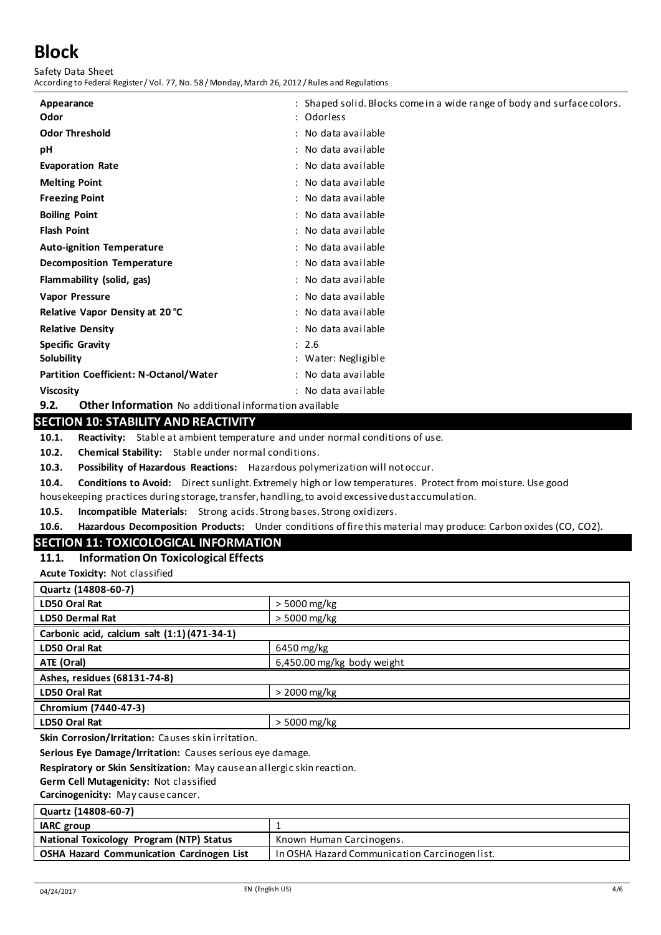Safety Data Sheet According to Federal Register / Vol. 77, No. 58 / Monday, March 26, 2012 / Rules and Regulations

| Appearance                                    | : Shaped solid. Blocks come in a wide range of body and surface colors. |
|-----------------------------------------------|-------------------------------------------------------------------------|
| Odor                                          | : Odorless                                                              |
| <b>Odor Threshold</b>                         | : No data available                                                     |
| рH                                            | : No data available                                                     |
| <b>Evaporation Rate</b>                       | : No data available                                                     |
| <b>Melting Point</b>                          | : No data available                                                     |
| <b>Freezing Point</b>                         | : No data available                                                     |
| <b>Boiling Point</b>                          | : No data available                                                     |
| <b>Flash Point</b>                            | : No data available                                                     |
| <b>Auto-ignition Temperature</b>              | : No data available                                                     |
| Decomposition Temperature                     | : No data available                                                     |
| Flammability (solid, gas)                     | : No data available                                                     |
| Vapor Pressure                                | : No data available                                                     |
| Relative Vapor Density at 20 °C               | : No data available                                                     |
| <b>Relative Density</b>                       | : No data available                                                     |
| <b>Specific Gravity</b>                       | : 2.6                                                                   |
| Solubility                                    | : Water: Negligible                                                     |
| <b>Partition Coefficient: N-Octanol/Water</b> | : No data available                                                     |
| <b>Viscosity</b>                              | : No data available                                                     |

**9.2. Other Information** No additional information available

### **SECTION 10: STABILITY AND REACTIVITY**

**10.1. Reactivity:** Stable at ambient temperature and under normal conditions of use.

**10.2. Chemical Stability:** Stable under normal conditions.

**10.3. Possibility of Hazardous Reactions:** Hazardous polymerization will not occur.

**10.4. Conditions to Avoid:** Direct sunlight. Extremely high or low temperatures. Protect from moisture. Use good housekeeping practices during storage, transfer, handling, to avoid excessive dust accumulation.

**10.5. Incompatible Materials:** Strong acids. Strong bases. Strong oxidizers.

**10.6. Hazardous Decomposition Products:** Under conditions of fire this material may produce: Carbon oxides (CO, CO2).

# **SECTION 11: TOXICOLOGICAL INFORMATION**

**11.1. Information On Toxicological Effects** 

**Acute Toxicity:** Not classified

| Quartz (14808-60-7)                          |                            |  |
|----------------------------------------------|----------------------------|--|
| LD50 Oral Rat                                | $> 5000$ mg/kg             |  |
| <b>LD50 Dermal Rat</b>                       | $> 5000$ mg/kg             |  |
| Carbonic acid, calcium salt (1:1) (471-34-1) |                            |  |
| LD50 Oral Rat                                | 6450 mg/kg                 |  |
| ATE (Oral)                                   | 6,450.00 mg/kg body weight |  |
| Ashes, residues (68131-74-8)                 |                            |  |
| LD50 Oral Rat                                | $>$ 2000 mg/kg             |  |
| Chromium (7440-47-3)                         |                            |  |
| LD50 Oral Rat                                | $>$ 5000 mg/kg             |  |

**Skin Corrosion/Irritation:** Causes skin irritation.

**Serious Eye Damage/Irritation:** Causes serious eye damage.

**Respiratory or Skin Sensitization:** May cause an allergic skin reaction.

**Germ Cell Mutagenicity:** Not classified

**Carcinogenicity:** May cause cancer.

| Quartz (14808-60-7)                              |                                               |
|--------------------------------------------------|-----------------------------------------------|
| <b>IARC</b> group                                |                                               |
| National Toxicology Program (NTP) Status         | Known Human Carcinogens.                      |
| <b>OSHA Hazard Communication Carcinogen List</b> | In OSHA Hazard Communication Carcinogen list. |
|                                                  |                                               |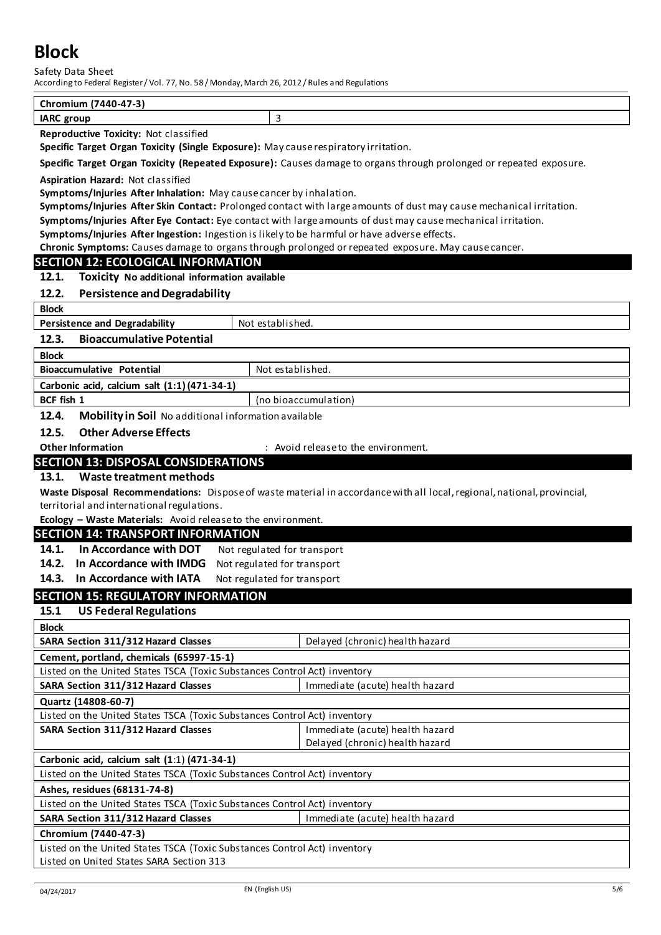Safety Data Sheet

According to Federal Register / Vol. 77, No. 58 / Monday, March 26, 2012 / Rules and Regulations

| $(7440 - 47 - 3)$<br>Chromium                                                 |  |
|-------------------------------------------------------------------------------|--|
| <b>IARC</b> group                                                             |  |
| $\cdot$ $\cdot$<br>$\sim$ $\sim$<br>_<br>$\cdots$<br>$\overline{\phantom{0}}$ |  |

**Reproductive Toxicity:** Not classified

**Specific Target Organ Toxicity (Single Exposure):** May cause respiratory irritation.

**Specific Target Organ Toxicity (Repeated Exposure):** Causes damage to organs through prolonged or repeated exposure.

**Aspiration Hazard:** Not classified

**Symptoms/Injuries After Inhalation:** May cause cancer by inhalation.

**Symptoms/Injuries After Skin Contact:** Prolonged contact with large amounts of dust may cause mechanical irritation.

**Symptoms/Injuries After Eye Contact:** Eye contact with large amounts of dust may cause mechanical irritation.

**Symptoms/Injuries After Ingestion:** Ingestion is likely to be harmful or have adverse effects.

**Chronic Symptoms:** Causes damage to organs through prolonged or repeated exposure. May cause cancer.

#### **SECTION 12: ECOLOGICAL INFORMATION**

**12.1. Toxicity No additional information available**

#### **12.2. Persistence and Degradability**

| <b>Block</b>                                |                  |
|---------------------------------------------|------------------|
| <b>Persistence and Degradability</b>        | Not established. |
| <b>Bioaccumulative Potential</b><br>12.3.   |                  |
| <b>Block</b>                                |                  |
| <b>Bioaccumulative Potential</b>            | Not established. |
| Carbonic acid, calcium salt (1:1)(471-34-1) |                  |
|                                             |                  |

**BCF fish 1** (no bioaccumulation)

**12.4. Mobility in Soil** No additional information available

**12.5. Other Adverse Effects** 

**Other Information 1988 Change in the environment.** The environment.

## **SECTION 13: DISPOSAL CONSIDERATIONS**

#### **13.1. Waste treatment methods**

**Waste Disposal Recommendations:** Dispose of waste material in accordance with all local, regional, national, provincial, territorial and international regulations.

**Ecology – Waste Materials:** Avoid release to the environment.

#### **SECTION 14: TRANSPORT INFORMATION**

14.1. In Accordance with DOT Not regulated for transport

**14.2. In Accordance with IMDG** Not regulated for transport

**14.3. In Accordance with IATA** Not regulated for transport

## **SECTION 15: REGULATORY INFORMATION**

**15.1 US Federal Regulations**

| <b>Block</b>                                                              |                                 |  |
|---------------------------------------------------------------------------|---------------------------------|--|
| SARA Section 311/312 Hazard Classes                                       | Delayed (chronic) health hazard |  |
| Cement, portland, chemicals (65997-15-1)                                  |                                 |  |
| Listed on the United States TSCA (Toxic Substances Control Act) inventory |                                 |  |
| SARA Section 311/312 Hazard Classes                                       | Immediate (acute) health hazard |  |
| Quartz (14808-60-7)                                                       |                                 |  |
| Listed on the United States TSCA (Toxic Substances Control Act) inventory |                                 |  |
| SARA Section 311/312 Hazard Classes                                       | Immediate (acute) health hazard |  |
|                                                                           | Delayed (chronic) health hazard |  |
| Carbonic acid, calcium salt (1:1) (471-34-1)                              |                                 |  |
| Listed on the United States TSCA (Toxic Substances Control Act) inventory |                                 |  |
| Ashes, residues (68131-74-8)                                              |                                 |  |
| Listed on the United States TSCA (Toxic Substances Control Act) inventory |                                 |  |
| SARA Section 311/312 Hazard Classes                                       | Immediate (acute) health hazard |  |
| Chromium (7440-47-3)                                                      |                                 |  |
| Listed on the United States TSCA (Toxic Substances Control Act) inventory |                                 |  |
| Listed on United States SARA Section 313                                  |                                 |  |